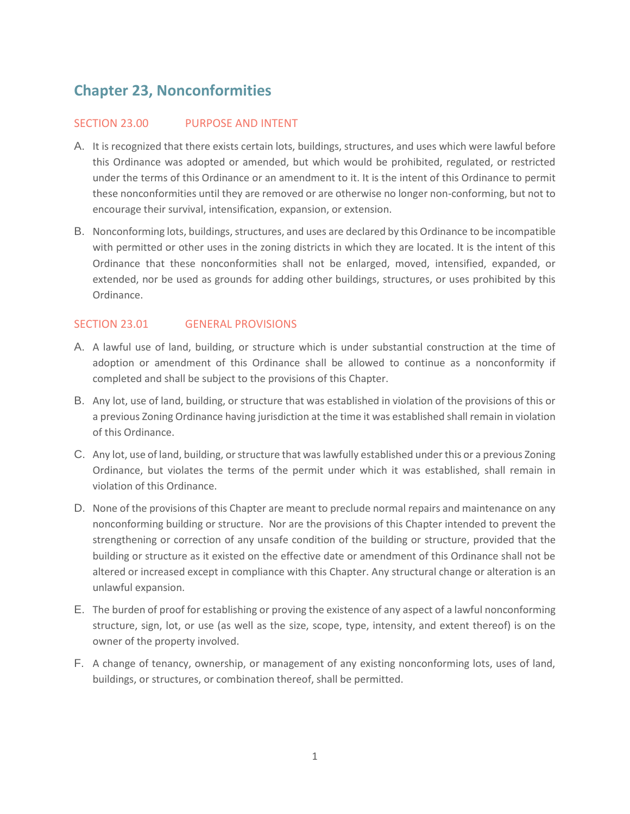# **Chapter 23, Nonconformities**

## SECTION 23.00 PURPOSE AND INTENT

- A. It is recognized that there exists certain lots, buildings, structures, and uses which were lawful before this Ordinance was adopted or amended, but which would be prohibited, regulated, or restricted under the terms of this Ordinance or an amendment to it. It is the intent of this Ordinance to permit these nonconformities until they are removed or are otherwise no longer non-conforming, but not to encourage their survival, intensification, expansion, or extension.
- B. Nonconforming lots, buildings, structures, and uses are declared by this Ordinance to be incompatible with permitted or other uses in the zoning districts in which they are located. It is the intent of this Ordinance that these nonconformities shall not be enlarged, moved, intensified, expanded, or extended, nor be used as grounds for adding other buildings, structures, or uses prohibited by this Ordinance.

## SECTION 23.01 GENERAL PROVISIONS

- A. A lawful use of land, building, or structure which is under substantial construction at the time of adoption or amendment of this Ordinance shall be allowed to continue as a nonconformity if completed and shall be subject to the provisions of this Chapter.
- B. Any lot, use of land, building, or structure that was established in violation of the provisions of this or a previous Zoning Ordinance having jurisdiction at the time it was established shall remain in violation of this Ordinance.
- C. Any lot, use of land, building, or structure that was lawfully established under this or a previous Zoning Ordinance, but violates the terms of the permit under which it was established, shall remain in violation of this Ordinance.
- D. None of the provisions of this Chapter are meant to preclude normal repairs and maintenance on any nonconforming building or structure. Nor are the provisions of this Chapter intended to prevent the strengthening or correction of any unsafe condition of the building or structure, provided that the building or structure as it existed on the effective date or amendment of this Ordinance shall not be altered or increased except in compliance with this Chapter. Any structural change or alteration is an unlawful expansion.
- E. The burden of proof for establishing or proving the existence of any aspect of a lawful nonconforming structure, sign, lot, or use (as well as the size, scope, type, intensity, and extent thereof) is on the owner of the property involved.
- F. A change of tenancy, ownership, or management of any existing nonconforming lots, uses of land, buildings, or structures, or combination thereof, shall be permitted.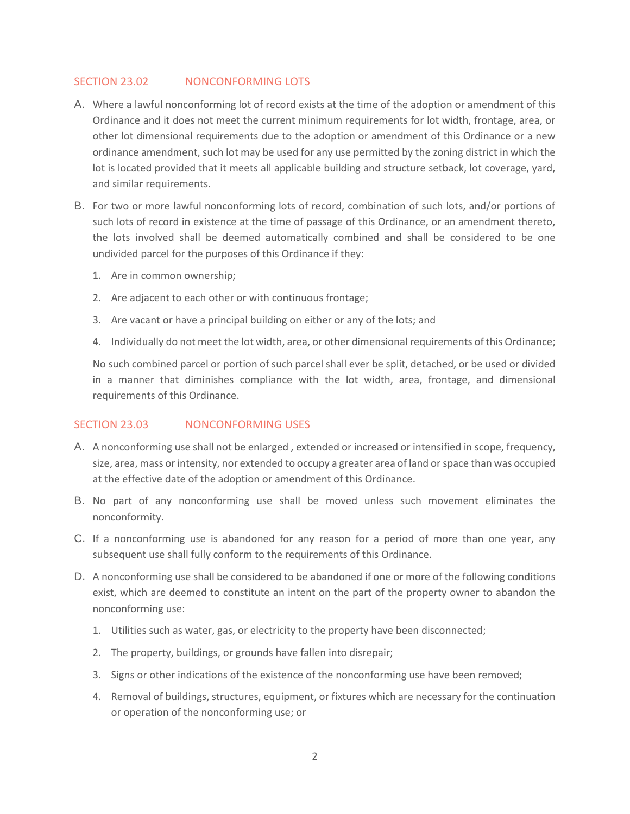## SECTION 23.02 NONCONFORMING LOTS

- A. Where a lawful nonconforming lot of record exists at the time of the adoption or amendment of this Ordinance and it does not meet the current minimum requirements for lot width, frontage, area, or other lot dimensional requirements due to the adoption or amendment of this Ordinance or a new ordinance amendment, such lot may be used for any use permitted by the zoning district in which the lot is located provided that it meets all applicable building and structure setback, lot coverage, yard, and similar requirements.
- B. For two or more lawful nonconforming lots of record, combination of such lots, and/or portions of such lots of record in existence at the time of passage of this Ordinance, or an amendment thereto, the lots involved shall be deemed automatically combined and shall be considered to be one undivided parcel for the purposes of this Ordinance if they:
	- 1. Are in common ownership;
	- 2. Are adjacent to each other or with continuous frontage;
	- 3. Are vacant or have a principal building on either or any of the lots; and
	- 4. Individually do not meet the lot width, area, or other dimensional requirements of this Ordinance;

No such combined parcel or portion of such parcel shall ever be split, detached, or be used or divided in a manner that diminishes compliance with the lot width, area, frontage, and dimensional requirements of this Ordinance.

#### SECTION 23.03 NONCONFORMING USES

- A. A nonconforming use shall not be enlarged , extended or increased or intensified in scope, frequency, size, area, mass or intensity, nor extended to occupy a greater area of land or space than was occupied at the effective date of the adoption or amendment of this Ordinance.
- B. No part of any nonconforming use shall be moved unless such movement eliminates the nonconformity.
- C. If a nonconforming use is abandoned for any reason for a period of more than one year, any subsequent use shall fully conform to the requirements of this Ordinance.
- D. A nonconforming use shall be considered to be abandoned if one or more of the following conditions exist, which are deemed to constitute an intent on the part of the property owner to abandon the nonconforming use:
	- 1. Utilities such as water, gas, or electricity to the property have been disconnected;
	- 2. The property, buildings, or grounds have fallen into disrepair;
	- 3. Signs or other indications of the existence of the nonconforming use have been removed;
	- 4. Removal of buildings, structures, equipment, or fixtures which are necessary for the continuation or operation of the nonconforming use; or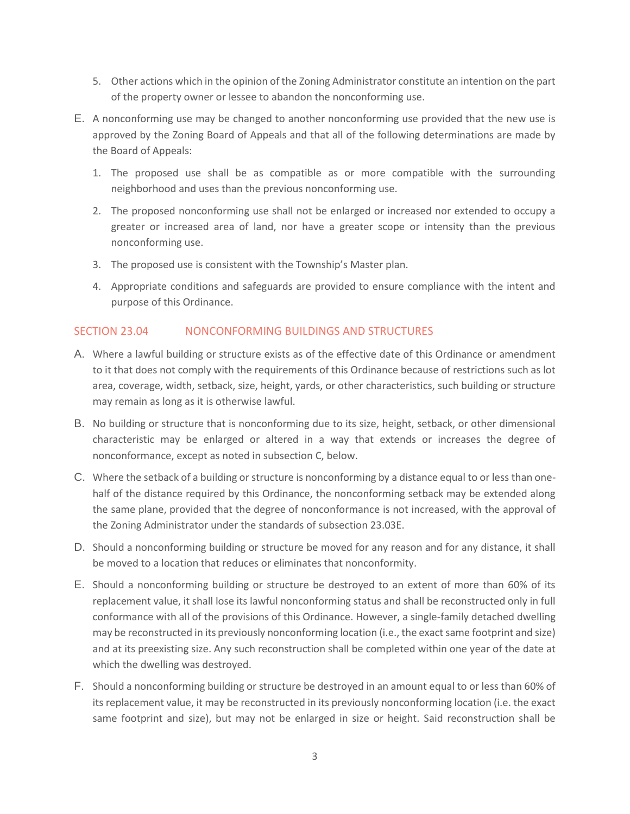- 5. Other actions which in the opinion of the Zoning Administrator constitute an intention on the part of the property owner or lessee to abandon the nonconforming use.
- E. A nonconforming use may be changed to another nonconforming use provided that the new use is approved by the Zoning Board of Appeals and that all of the following determinations are made by the Board of Appeals:
	- 1. The proposed use shall be as compatible as or more compatible with the surrounding neighborhood and uses than the previous nonconforming use.
	- 2. The proposed nonconforming use shall not be enlarged or increased nor extended to occupy a greater or increased area of land, nor have a greater scope or intensity than the previous nonconforming use.
	- 3. The proposed use is consistent with the Township's Master plan.
	- 4. Appropriate conditions and safeguards are provided to ensure compliance with the intent and purpose of this Ordinance.

## SECTION 23.04 NONCONFORMING BUILDINGS AND STRUCTURES

- A. Where a lawful building or structure exists as of the effective date of this Ordinance or amendment to it that does not comply with the requirements of this Ordinance because of restrictions such as lot area, coverage, width, setback, size, height, yards, or other characteristics, such building or structure may remain as long as it is otherwise lawful.
- B. No building or structure that is nonconforming due to its size, height, setback, or other dimensional characteristic may be enlarged or altered in a way that extends or increases the degree of nonconformance, except as noted in subsection C, below.
- C. Where the setback of a building or structure is nonconforming by a distance equal to or less than onehalf of the distance required by this Ordinance, the nonconforming setback may be extended along the same plane, provided that the degree of nonconformance is not increased, with the approval of the Zoning Administrator under the standards of subsection 23.03E.
- D. Should a nonconforming building or structure be moved for any reason and for any distance, it shall be moved to a location that reduces or eliminates that nonconformity.
- E. Should a nonconforming building or structure be destroyed to an extent of more than 60% of its replacement value, it shall lose its lawful nonconforming status and shall be reconstructed only in full conformance with all of the provisions of this Ordinance. However, a single-family detached dwelling may be reconstructed in its previously nonconforming location (i.e., the exact same footprint and size) and at its preexisting size. Any such reconstruction shall be completed within one year of the date at which the dwelling was destroyed.
- F. Should a nonconforming building or structure be destroyed in an amount equal to or less than 60% of its replacement value, it may be reconstructed in its previously nonconforming location (i.e. the exact same footprint and size), but may not be enlarged in size or height. Said reconstruction shall be